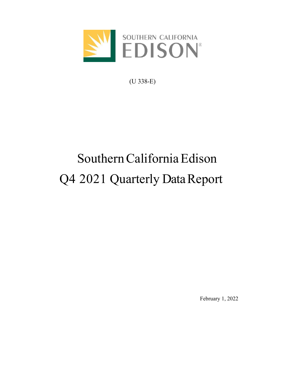

(U 338-E)

# Southern California Edison Q4 2021 Quarterly Data Report

February 1, 2022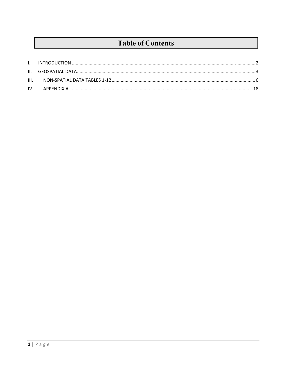# **Table of Contents**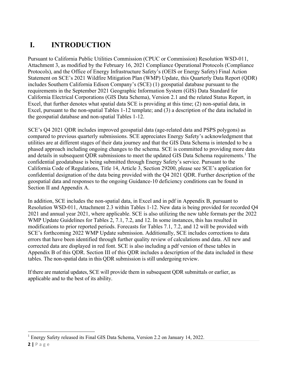# **I. INTRODUCTION**

Pursuant to California Public Utilities Commission (CPUC or Commission) Resolution WSD-011, Attachment 3, as modified by the February 16, 2021 Compliance Operational Protocols (Compliance Protocols), and the Office of Energy Infrastructure Safety's (OEIS or Energy Safety) Final Action Statement on SCE's 2021 Wildfire Mitigation Plan (WMP) Update, this Quarterly Data Report (QDR) includes Southern California Edison Company's (SCE) (1) geospatial database pursuant to the requirements in the September 2021 Geographic Information System (GIS) Data Standard for California Electrical Corporations (GIS Data Schema), Version 2.1 and the related Status Report, in Excel, that further denotes what spatial data SCE is providing at this time; (2) non-spatial data, in Excel, pursuant to the non-spatial Tables 1-12 template; and (3) a description of the data included in the geospatial database and non-spatial Tables 1-12.

SCE's Q4 2021 QDR includes improved geospatial data (age-related data and PSPS polygons) as compared to previous quarterly submissions. SCE appreciates Energy Safety's acknowledgment that utilities are at different stages of their data journey and that the GIS Data Schema is intended to be a phased approach including ongoing changes to the schema. SCE is committed to providing more data and details in subsequent QDR submissions to meet the updated GIS Data Schema requirements.<sup>1</sup> The confidential geodatabase is being submitted through Energy Safety's service. Pursuant to the California Code of Regulations, Title 14, Article 3, Section 29200, please see SCE's application for confidential designation of the data being provided with the Q4 2021 QDR. Further description of the geospatial data and responses to the ongoing Guidance-10 deficiency conditions can be found in Section II and Appendix A.

In addition, SCE includes the non-spatial data, in Excel and in pdf in Appendix B, pursuant to Resolution WSD-011, Attachment 2.3 within Tables 1-12. New data is being provided for recorded Q4 2021 and annual year 2021, where applicable. SCE is also utilizing the new table formats per the 2022 WMP Update Guidelines for Tables 2, 7.1, 7.2, and 12. In some instances, this has resulted in modifications to prior reported periods. Forecasts for Tables 7.1, 7.2, and 12 will be provided with SCE's forthcoming 2022 WMP Update submission. Additionally, SCE includes corrections to data errors that have been identified through further quality review of calculations and data. All new and corrected data are displayed in red font. SCE is also including a pdf version of these tables in Appendix B of this QDR. Section III of this QDR includes a description of the data included in these tables. The non-spatial data in this QDR submission is still undergoing review.

If there are material updates, SCE will provide them in subsequent QDR submittals or earlier, as applicable and to the best of its ability.

<sup>&</sup>lt;sup>1</sup> Energy Safety released its Final GIS Data Schema, Version 2.2 on January 14, 2022.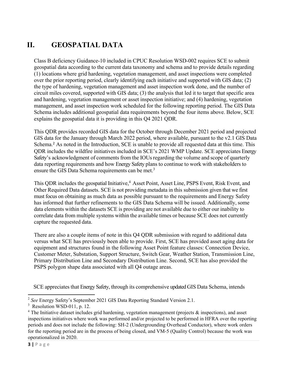# **II. GEOSPATIAL DATA**

Class B deficiency Guidance-10 included in CPUC Resolution WSD-002 requires SCE to submit geospatial data according to the current data taxonomy and schema and to provide details regarding (1) locations where grid hardening, vegetation management, and asset inspections were completed over the prior reporting period, clearly identifying each initiative and supported with GIS data; (2) the type of hardening, vegetation management and asset inspection work done, and the number of circuit miles covered, supported with GIS data; (3) the analysis that led it to target that specific area and hardening, vegetation management or asset inspection initiative; and (4) hardening, vegetation management, and asset inspection work scheduled for the following reporting period. The GIS Data Schema includes additional geospatial data requirements beyond the four items above. Below, SCE explains the geospatial data it is providing in this Q4 2021 QDR.

This QDR provides recorded GIS data for the October through December 2021 period and projected GIS data for the January through March 2022 period, where available, pursuant to the v2.1 GIS Data Schema.<sup>2</sup> As noted in the Introduction, SCE is unable to provide all requested data at this time. This QDR includes the wildfire initiatives included in SCE's 2021 WMP Update. SCE appreciates Energy Safety's acknowledgment of comments from the IOUs regarding the volume and scope of quarterly data reporting requirements and how Energy Safety plans to continue to work with stakeholders to ensure the GIS Data Schema requirements can be met.<sup>3</sup>

This QDR includes the geospatial Initiative,<sup>4</sup> Asset Point, Asset Line, PSPS Event, Risk Event, and Other Required Data datasets. SCE is not providing metadata in this submission given that we first must focus on obtaining as much data as possible pursuant to the requirements and Energy Safety has informed that further refinements to the GIS Data Schema will be issued. Additionally, some data elements within the datasets SCE is providing are not available due to either our inability to correlate data from multiple systems within the available times or because SCE does not currently capture the requested data.

There are also a couple items of note in this Q4 QDR submission with regard to additional data versus what SCE has previously been able to provide. First, SCE has provided asset aging data for equipment and structures found in the following Asset Point feature classes: Connection Device, Customer Meter, Substation, Support Structure, Switch Gear, Weather Station, Transmission Line, Primary Distribution Line and Secondary Distribution Line. Second, SCE has also provided the PSPS polygon shape data associated with all Q4 outage areas.

SCE appreciates that Energy Safety, through its comprehensive updated GIS Data Schema, intends

<sup>2</sup> *See* Energy Safety's September 2021 GIS Data Reporting Standard Version 2.1.

 $3$  Resolution WSD-011, p. 12.

 $4$  The Initiative dataset includes grid hardening, vegetation management (projects  $\&$  inspections), and asset inspections initiatives where work was performed and/or projected to be performed in HFRA over the reporting periods and does not include the following: SH-2 (Undergrounding Overhead Conductor), where work orders for the reporting period are in the process of being closed, and VM-5 (Quality Control) because the work was operationalized in 2020.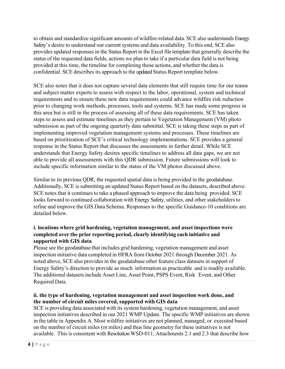to obtain and standardize significant amounts of wildfire-related data. SCE also understands Energy Safety's desire to understand our current systems and data availability. To this end, SCE also provides updated responses in the Status Report in the Excel file template that generally describe the status of the requested data fields, actions we plan to take if a particular data field is not being provided at this time, the timeline for completing those actions, and whether the data is confidential. SCE describes its approach to the updated Status Report template below.

SCE also notes that it does not capture several data elements that still require time for our teams and subject matter experts to assess with respect to the labor, operational, system and technical requirements and to ensure these new data requirements could advance wildfire risk reduction prior to changing work methods, processes, tools and systems. SCE has made some progress in this area but is still in the process of assessing all of these data requirements. SCE has taken steps to assess and estimate timelines as they pertain to Vegetation Management (VM) photo submission as part of the ongoing quarterly data submittal. SCE is taking these steps as part of implementing improved vegetation management systems and processes. These timelines are based on prioritization of SCE's critical technology implementations. SCE provides a general response in the Status Report that discusses the assessments in further detail. While SCE understands that Energy Safety desires specific timelines to address all data gaps, we are not able to provide all assessments with this QDR submission. Future submissions will look to include specific information similar to the status of the VM photos discussed above.

Similar to its previous QDR, the requested spatial data is being provided in the geodatabase. Additionally, SCE is submitting an updated Status Report based on the datasets, described above. SCE notes that it continues to take a phased approach to improve the data being provided. SCE looks forward to continued collaboration with Energy Safety, utilities, and other stakeholders to refine and improve the GIS Data Schema. Responses to the specific Guidance-10 conditions are detailed below.

# **i. locations where grid hardening, vegetation management, and asset inspections were completed over the prior reporting period, clearly identifying each initiative and supported with GIS data**

Please see the geodatabase that includes grid hardening, vegetation management and asset inspection initiative data completed in HFRA from October 2021 through December 2021. As noted above, SCE also provides in the geodatabase other feature class datasets in support of Energy Safety's direction to provide as much information as practicable and is readily available. The additional datasets include Asset Line, Asset Point, PSPS Event, Risk Event, and Other Required Data.

#### **ii. the type of hardening, vegetation management and asset inspection work done, and the number of circuit miles covered, supported with GIS data**

SCE is providing data associated with its system hardening, vegetation management, and asset inspection initiatives described in our 2021 WMP Update. The specific WMP initiatives are shown in the table in Appendix A. Most wildfire initiatives are not planned, managed, or executed based on the number of circuit miles (or miles) and thus line geometry for these initiatives is not available. This is consistent with Resolution WSD-011, Attachments 2.1 and 2.3 that describe how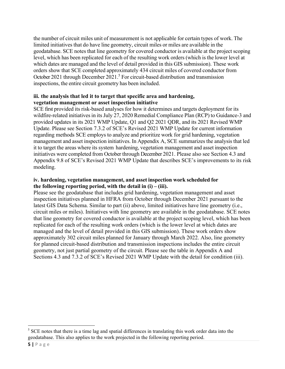the number of circuit miles unit of measurement is not applicable for certain types of work. The limited initiatives that do have line geometry, circuit miles or miles are available in the geodatabase. SCE notes that line geometry for covered conductor is available at the project scoping level, which has been replicated for each of the resulting work orders (which is the lower level at which dates are managed and the level of detail provided in this GIS submission). These work orders show that SCE completed approximately 434 circuit miles of covered conductor from October 2021 through December 2021.<sup>5</sup> For circuit-based distribution and transmission inspections, the entire circuit geometry has been included.

#### **iii. the analysis that led it to target that specific area and hardening, vegetation management or asset inspection initiative**

SCE first provided its risk-based analyses for how it determines and targets deployment for its wildfire-related initiatives in its July 27, 2020 Remedial Compliance Plan (RCP) to Guidance-3 and provided updates in its 2021 WMP Update, Q1 and Q2 2021 QDR, and its 2021 Revised WMP Update. Please see Section 7.3.2 of SCE's Revised 2021 WMP Update for current information regarding methods SCE employs to analyze and prioritize work for grid hardening, vegetation management and asset inspection initiatives. In Appendix A, SCE summarizes the analysis that led it to target the areas where its system hardening, vegetation management and asset inspection initiatives were completed from October through December 2021. Please also see Section 4.3 and Appendix 9.8 of SCE's Revised 2021 WMP Update that describes SCE's improvements to its risk modeling.

#### **iv. hardening, vegetation management, and asset inspection work scheduled for the following reporting period, with the detail in (i) – (iii).**

Please see the geodatabase that includes grid hardening, vegetation management and asset inspection initiatives planned in HFRA from October through December 2021 pursuant to the latest GIS Data Schema. Similar to part (ii) above, limited initiatives have line geometry (i.e., circuit miles or miles). Initiatives with line geometry are available in the geodatabase. SCE notes that line geometry for covered conductor is available at the project scoping level, which has been replicated for each of the resulting work orders (which is the lower level at which dates are managed and the level of detail provided in this GIS submission). These work orders show approximately 302 circuit miles planned for January through March 2022. Also, line geometry for planned circuit-based distribution and transmission inspections includes the entire circuit geometry, not just partial geometry of the circuit. Please see the table in Appendix A and Sections 4.3 and 7.3.2 of SCE's Revised 2021 WMP Update with the detail for condition (iii).

 $<sup>5</sup>$  SCE notes that there is a time lag and spatial differences in translating this work order data into the</sup> geodatabase. This also applies to the work projected in the following reporting period.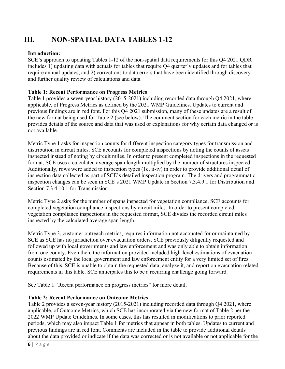# **III. NON-SPATIAL DATA TABLES 1-12**

# **Introduction:**

SCE's approach to updating Tables 1-12 of the non-spatial data requirements for this Q4 2021 QDR includes 1) updating data with actuals for tables that require Q4 quarterly updates and for tables that require annual updates, and 2) corrections to data errors that have been identified through discovery and further quality review of calculations and data.

### **Table 1: Recent Performance on Progress Metrics**

Table 1 provides a seven-year history (2015-2021) including recorded data through Q4 2021, where applicable, of Progress Metrics as defined by the 2021 WMP Guidelines. Updates to current and previous findings are in red font. For this Q4 2021 submission, many of these updates are a result of the new format being used for Table 2 (see below). The comment section for each metric in the table provides details of the source and data that was used or explanations for why certain data changed or is not available.

Metric Type 1 asks for inspection counts for different inspection category types for transmission and distribution in circuit miles. SCE accounts for completed inspections by noting the counts of assets inspected instead of noting by circuit miles. In order to present completed inspections in the requested format, SCE uses a calculated average span length multiplied by the number of structures inspected. Additionally, rows were added to inspection types (1c, ii-iv) in order to provide additional detail of inspection data collected as part of SCE's detailed inspection program. The drivers and programmatic inspection changes can be seen in SCE's 2021 WMP Update in Section 7.3.4.9.1 for Distribution and Section 7.3.4.10.1 for Transmission.

Metric Type 2 asks for the number of spans inspected for vegetation compliance. SCE accounts for completed vegetation compliance inspections by circuit miles. In order to present completed vegetation compliance inspections in the requested format, SCE divides the recorded circuit miles inspected by the calculated average span length.

Metric Type 3, customer outreach metrics, requires information not accounted for or maintained by SCE as SCE has no jurisdiction over evacuation orders. SCE previously diligently requested and followed up with local governments and law enforcement and was only able to obtain information from one county. Even then, the information provided included high-level estimations of evacuation counts estimated by the local government and law enforcement entity for a very limited set of fires. Because of this, SCE is unable to obtain the requested data, analyze it, and report on evacuation related requirements in this table. SCE anticipates this to be a recurring challenge going forward.

See Table 1 "Recent performance on progress metrics" for more detail.

#### **Table 2: Recent Performance on Outcome Metrics**

Table 2 provides a seven-year history (2015-2021) including recorded data through Q4 2021, where applicable, of Outcome Metrics, which SCE has incorporated via the new format of Table 2 per the 2022 WMP Update Guidelines. In some cases, this has resulted in modifications to prior reported periods, which may also impact Table 1 for metrics that appear in both tables. Updates to current and previous findings are in red font. Comments are included in the table to provide additional details about the data provided or indicate if the data was corrected or is not available or not applicable for the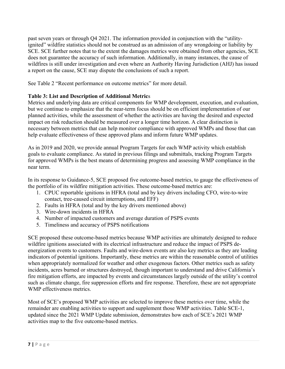past seven years or through Q4 2021. The information provided in conjunction with the "utilityignited" wildfire statistics should not be construed as an admission of any wrongdoing or liability by SCE. SCE further notes that to the extent the damages metrics were obtained from other agencies, SCE does not guarantee the accuracy of such information. Additionally, in many instances, the cause of wildfires is still under investigation and even where an Authority Having Jurisdiction (AHJ) has issued a report on the cause, SCE may dispute the conclusions of such a report.

See Table 2 "Recent performance on outcome metrics" for more detail.

# **Table 3: List and Description of Additional Metric**s

Metrics and underlying data are critical components for WMP development, execution, and evaluation, but we continue to emphasize that the near-term focus should be on efficient implementation of our planned activities, while the assessment of whether the activities are having the desired and expected impact on risk reduction should be measured over a longer time horizon. A clear distinction is necessary between metrics that can help monitor compliance with approved WMPs and those that can help evaluate effectiveness of these approved plans and inform future WMP updates.

As in 2019 and 2020, we provide annual Program Targets for each WMP activity which establish goals to evaluate compliance. As stated in previous filings and submittals, tracking Program Targets for approved WMPs is the best means of determining progress and assessing WMP compliance in the near term.

In its response to Guidance-5, SCE proposed five outcome-based metrics, to gauge the effectiveness of the portfolio of its wildfire mitigation activities. These outcome-based metrics are:

- 1. CPUC reportable ignitions in HFRA (total and by key drivers including CFO, wire-to-wire contact, tree-caused circuit interruptions, and EFF)
- 2. Faults in HFRA (total and by the key drivers mentioned above)
- 3. Wire-down incidents in HFRA
- 4. Number of impacted customers and average duration of PSPS events
- 5. Timeliness and accuracy of PSPS notifications

SCE proposed these outcome-based metrics because WMP activities are ultimately designed to reduce wildfire ignitions associated with its electrical infrastructure and reduce the impact of PSPS deenergization events to customers. Faults and wire-down events are also key metrics as they are leading indicators of potential ignitions. Importantly, these metrics are within the reasonable control of utilities when appropriately normalized for weather and other exogenous factors. Other metrics such as safety incidents, acres burned or structures destroyed, though important to understand and drive California's fire mitigation efforts, are impacted by events and circumstances largely outside of the utility's control such as climate change, fire suppression efforts and fire response. Therefore, these are not appropriate WMP effectiveness metrics.

Most of SCE's proposed WMP activities are selected to improve these metrics over time, while the remainder are enabling activities to support and supplement those WMP activities. Table SCE-1, updated since the 2021 WMP Update submission, demonstrates how each of SCE's 2021 WMP activities map to the five outcome-based metrics.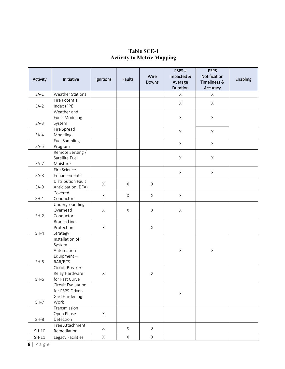# **Table SCE-1 Activity to Metric Mapping**

| Activity            | Initiative                           | Ignitions   | <b>Faults</b> | Wire<br>Downs | PSPS#<br>Impacted &<br>Average | <b>PSPS</b><br>Notification<br>Timeliness & | Enabling |
|---------------------|--------------------------------------|-------------|---------------|---------------|--------------------------------|---------------------------------------------|----------|
|                     |                                      |             |               |               | Duration                       | Accuracy                                    |          |
|                     | $SA-1$<br>Weather Stations           |             |               |               | X                              | $\mathsf X$                                 |          |
|                     | Fire Potential                       |             |               |               | X                              | X                                           |          |
| $SA-2$              | Index (FPI)<br>Weather and           |             |               |               |                                |                                             |          |
|                     | <b>Fuels Modeling</b>                |             |               |               | X                              | $\mathsf X$                                 |          |
| $SA-3$              | System                               |             |               |               |                                |                                             |          |
|                     | Fire Spread                          |             |               |               |                                |                                             |          |
| $SA-4$              | Modeling                             |             |               |               | X                              | X                                           |          |
|                     | <b>Fuel Sampling</b>                 |             |               |               | X                              | X                                           |          |
| $SA-5$              | Program                              |             |               |               |                                |                                             |          |
|                     | Remote Sensing /                     |             |               |               |                                |                                             |          |
|                     | Satellite Fuel                       |             |               |               | Χ                              | $\mathsf X$                                 |          |
| $SA-7$              | Moisture<br>Fire Science             |             |               |               |                                |                                             |          |
| $SA-8$              | Enhancements                         |             |               |               | X                              | $\mathsf X$                                 |          |
|                     | Distribution Fault                   |             |               |               |                                |                                             |          |
| $SA-9$              | Anticipation (DFA)                   | X           | $\times$      | X             |                                |                                             |          |
|                     | Covered                              |             |               |               |                                |                                             |          |
| $SH-1$              | Conductor                            | $\times$    | $\times$      | $\times$      | $\times$                       |                                             |          |
|                     | Undergrounding                       |             |               |               |                                |                                             |          |
|                     | Overhead                             | $\mathsf X$ | X             | $\mathsf X$   | X                              |                                             |          |
| $SH-2$<br>Conductor |                                      |             |               |               |                                |                                             |          |
|                     | Branch Line<br>Protection            | X           |               | $\mathsf X$   |                                |                                             |          |
| $SH-4$              | Strategy                             |             |               |               |                                |                                             |          |
|                     | Installation of                      |             |               |               |                                |                                             |          |
|                     | System                               |             |               |               |                                |                                             |          |
|                     | Automation                           |             |               |               | Χ                              | $\mathsf X$                                 |          |
|                     | Equipment-                           |             |               |               |                                |                                             |          |
| $SH-5$              | RAR/RCS                              |             |               |               |                                |                                             |          |
|                     | Circuit Breaker                      |             |               |               |                                |                                             |          |
|                     | Relay Hardware                       | X           |               | $\mathsf X$   |                                |                                             |          |
| $SH-6$              | for Fast Curve<br>Circuit Evaluation |             |               |               |                                |                                             |          |
|                     | for PSPS-Driven                      |             |               |               |                                |                                             |          |
|                     | Grid Hardening                       |             |               |               | X                              |                                             |          |
| $SH-7$              | Work                                 |             |               |               |                                |                                             |          |
|                     | Transmission                         |             |               |               |                                |                                             |          |
|                     | Open Phase                           | X           |               |               |                                |                                             |          |
| $SH-8$              | Detection                            |             |               |               |                                |                                             |          |
| Tree Attachment     |                                      | X           | X             | X             |                                |                                             |          |
| $SH-10$             | Remediation                          |             | $\mathsf{X}$  | $\times$      |                                |                                             |          |
| $SH-11$             | Legacy Facilities                    | $\mathsf X$ |               |               |                                |                                             |          |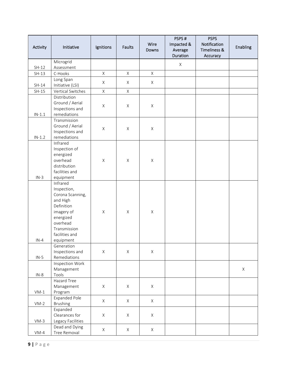| Activity | Initiative                                                                                                                                                  | Ignitions    | <b>Faults</b> | Wire<br>Downs | PSPS#<br>Impacted &<br>Average<br>Duration | <b>PSPS</b><br>Notification<br>Timeliness &<br>Accuracy | Enabling |
|----------|-------------------------------------------------------------------------------------------------------------------------------------------------------------|--------------|---------------|---------------|--------------------------------------------|---------------------------------------------------------|----------|
|          | Microgrid                                                                                                                                                   |              |               |               |                                            |                                                         |          |
| $SH-12$  | Assessment                                                                                                                                                  |              |               |               | $\mathsf X$                                |                                                         |          |
| $SH-13$  | C-Hooks                                                                                                                                                     | $\mathsf{X}$ | $\times$      | X             |                                            |                                                         |          |
| $SH-14$  | Long Span<br>Initiative (LSI)                                                                                                                               | X            | X             | $\times$      |                                            |                                                         |          |
| $SH-15$  | Vertical Switches                                                                                                                                           | $\mathsf X$  | $\mathsf X$   |               |                                            |                                                         |          |
| $IN-1.1$ | Distribution<br>Ground / Aerial<br>Inspections and<br>remediations                                                                                          | $\mathsf X$  | $\mathsf X$   | $\mathsf X$   |                                            |                                                         |          |
| $IN-1.2$ | Transmission<br>Ground / Aerial<br>Inspections and<br>remediations                                                                                          | $\mathsf X$  | $\mathsf X$   | $\mathsf X$   |                                            |                                                         |          |
| $IN-3$   | Infrared<br>Inspection of<br>energized<br>overhead<br>distribution<br>facilities and<br>equipment                                                           | $\mathsf X$  | $\mathsf X$   | $\mathsf X$   |                                            |                                                         |          |
| $IN-4$   | Infrared<br>Inspection,<br>Corona Scanning,<br>and High<br>Definition<br>imagery of<br>energized<br>overhead<br>Transmission<br>facilities and<br>equipment | $\mathsf X$  | $\mathsf X$   | $\mathsf X$   |                                            |                                                         |          |
| $IN-5$   | Generation<br>Inspections and<br>Remediations                                                                                                               | Χ            | X             | $\mathsf X$   |                                            |                                                         |          |
| $IN-8$   | Inspection Work<br>Management<br>Tools                                                                                                                      |              |               |               |                                            |                                                         | X        |
| $VM-1$   | Hazard Tree<br>Management<br>Program                                                                                                                        | X            | X             | X             |                                            |                                                         |          |
| $VM-2$   | Expanded Pole<br><b>Brushing</b>                                                                                                                            | X            | X             | X             |                                            |                                                         |          |
| $VM-3$   | Expanded<br>Clearances for<br>Legacy Facilities                                                                                                             | X            | $\times$      | $\times$      |                                            |                                                         |          |
| $VM-4$   | Dead and Dying<br>Tree Removal                                                                                                                              | X            | X             | X             |                                            |                                                         |          |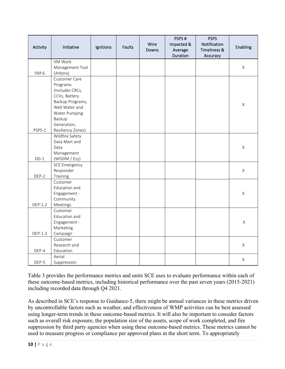| Activity                | Initiative           | Ignitions | <b>Faults</b> | Wire<br>Downs | PSPS#<br>Impacted &<br>Average<br>Duration | <b>PSPS</b><br>Notification<br>Timeliness &<br>Accuracy | Enabling    |
|-------------------------|----------------------|-----------|---------------|---------------|--------------------------------------------|---------------------------------------------------------|-------------|
|                         | VM Work              |           |               |               |                                            |                                                         |             |
|                         | Management Tool      |           |               |               |                                            |                                                         | $\mathsf X$ |
| $VM-6$                  | (Arbora)             |           |               |               |                                            |                                                         |             |
|                         | Customer Care        |           |               |               |                                            |                                                         |             |
|                         | Programs             |           |               |               |                                            |                                                         |             |
|                         | (Includes CRCs,      |           |               |               |                                            |                                                         |             |
|                         | CCVs, Battery        |           |               |               |                                            |                                                         |             |
|                         | Backup Programs,     |           |               |               |                                            |                                                         | $\mathsf X$ |
|                         | Well Water and       |           |               |               |                                            |                                                         |             |
|                         | <b>Water Pumping</b> |           |               |               |                                            |                                                         |             |
|                         | Backup               |           |               |               |                                            |                                                         |             |
|                         | Generation,          |           |               |               |                                            |                                                         |             |
| PSPS-2                  | Resiliency Zones)    |           |               |               |                                            |                                                         |             |
|                         | Wildfire Safety      |           |               |               |                                            |                                                         |             |
|                         | Data Mart and        |           |               |               |                                            |                                                         |             |
|                         | Data                 |           |               |               |                                            |                                                         | $\mathsf X$ |
|                         | Management           |           |               |               |                                            |                                                         |             |
| $DG-1$<br>(WISDM / Ezy) |                      |           |               |               |                                            |                                                         |             |
|                         | <b>SCE Emergency</b> |           |               |               |                                            |                                                         |             |
|                         | Responder            |           |               |               |                                            |                                                         | $\mathsf X$ |
| DEP-2                   | Training             |           |               |               |                                            |                                                         |             |
|                         | Customer             |           |               |               |                                            |                                                         |             |
|                         | Education and        |           |               |               |                                            |                                                         |             |
|                         | Engagement -         |           |               |               |                                            |                                                         | $\mathsf X$ |
|                         | Community            |           |               |               |                                            |                                                         |             |
| DEP-1.2                 | Meetings             |           |               |               |                                            |                                                         |             |
|                         | Customer             |           |               |               |                                            |                                                         |             |
|                         | Education and        |           |               |               |                                            |                                                         |             |
|                         | Engagement -         |           |               |               |                                            |                                                         | $\mathsf X$ |
|                         | Marketing            |           |               |               |                                            |                                                         |             |
| DEP-1.3                 | Campaign             |           |               |               |                                            |                                                         |             |
|                         | Customer             |           |               |               |                                            |                                                         |             |
|                         | Research and         |           |               |               |                                            |                                                         | X           |
| DEP-4                   | Education            |           |               |               |                                            |                                                         |             |
|                         | Aerial               |           |               |               |                                            |                                                         | $\mathsf X$ |
| DEP-5                   | Suppression          |           |               |               |                                            |                                                         |             |

Table 3 provides the performance metrics and units SCE uses to evaluate performance within each of these outcome-based metrics, including historical performance over the past seven years (2015-2021) including recorded data through Q4 2021.

As described in SCE's response to Guidance-5, there might be annual variances in these metrics driven by uncontrollable factors such as weather, and effectiveness of WMP activities can be best assessed using longer-term trends in these outcome-based metrics. It will also be important to consider factors such as overall risk exposure, the population size of the assets, scope of work completed, and fire suppression by third party agencies when using these outcome-based metrics. These metrics cannot be used to measure progress or compliance per approved plans in the short term. To appropriately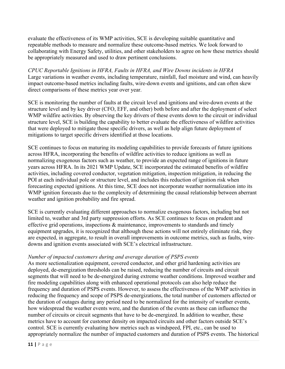evaluate the effectiveness of its WMP activities, SCE is developing suitable quantitative and repeatable methods to measure and normalize these outcome-based metrics. We look forward to collaborating with Energy Safety, utilities, and other stakeholders to agree on how these metrics should be appropriately measured and used to draw pertinent conclusions.

*CPUC Reportable Ignitions in HFRA, Faults in HFRA, and Wire Downs incidents in HFRA*  Large variations in weather events, including temperature, rainfall, fuel moisture and wind, can heavily impact outcome-based metrics including faults, wire-down events and ignitions, and can often skew direct comparisons of these metrics year over year.

SCE is monitoring the number of faults at the circuit level and ignitions and wire-down events at the structure level and by key driver (CFO, EFF, and other) both before and after the deployment of select WMP wildfire activities. By observing the key drivers of these events down to the circuit or individual structure level, SCE is building the capability to better evaluate the effectiveness of wildfire activities that were deployed to mitigate those specific drivers, as well as help align future deployment of mitigations to target specific drivers identified at those locations.

SCE continues to focus on maturing its modeling capabilities to provide forecasts of future ignitions across HFRA, incorporating the benefits of wildfire activities to reduce ignitions as well as normalizing exogenous factors such as weather, to provide an expected range of ignitions in future years across HFRA. In its 2021 WMP Update, SCE incorporated the estimated benefits of wildfire activities, including covered conductor, vegetation mitigation, inspection mitigation, in reducing the POI at each individual pole or structure level, and includes this reduction of ignition risk when forecasting expected ignitions. At this time, SCE does not incorporate weather normalization into its WMP ignition forecasts due to the complexity of determining the causal relationship between aberrant weather and ignition probability and fire spread.

SCE is currently evaluating different approaches to normalize exogenous factors, including but not limited to, weather and 3rd party suppression efforts. As SCE continues to focus on prudent and effective grid operations, inspections & maintenance, improvements to standards and timely equipment upgrades, it is recognized that although these actions will not entirely eliminate risk, they are expected, in aggregate, to result in overall improvements in outcome metrics, such as faults, wiredowns and ignition events associated with SCE's electrical infrastructure.

#### *Number of impacted customers during and average duration of PSPS events*

As more sectionalization equipment, covered conductor, and other grid hardening activities are deployed, de-energization thresholds can be raised, reducing the number of circuits and circuit segments that will need to be de-energized during extreme weather conditions. Improved weather and fire modeling capabilities along with enhanced operational protocols can also help reduce the frequency and duration of PSPS events. However, to assess the effectiveness of the WMP activities in reducing the frequency and scope of PSPS de-energizations, the total number of customers affected or the duration of outages during any period need to be normalized for the intensity of weather events, how widespread the weather events were, and the duration of the events as these can influence the number of circuits or circuit segments that have to be de-energized. In addition to weather, these metrics have to account for customer density on impacted circuits and other factors outside SCE's control. SCE is currently evaluating how metrics such as windspeed, FPI, etc., can be used to appropriately normalize the number of impacted customers and duration of PSPS events. The historical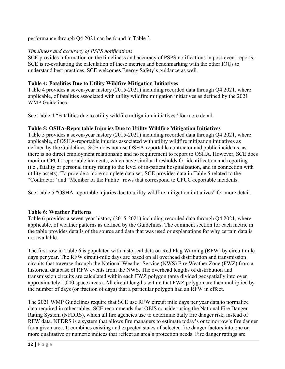performance through Q4 2021 can be found in Table 3.

## *Timeliness and accuracy of PSPS notifications*

SCE provides information on the timeliness and accuracy of PSPS notifications in post-event reports. SCE is re-evaluating the calculation of these metrics and benchmarking with the other IOUs to understand best practices. SCE welcomes Energy Safety's guidance as well.

## **Table 4: Fatalities Due to Utility Wildfire Mitigation Initiatives**

Table 4 provides a seven-year history (2015-2021) including recorded data through Q4 2021, where applicable, of fatalities associated with utility wildfire mitigation initiatives as defined by the 2021 WMP Guidelines.

See Table 4 "Fatalities due to utility wildfire mitigation initiatives" for more detail.

# **Table 5: OSHA-Reportable Injuries Due to Utility Wildfire Mitigation Initiatives**

Table 5 provides a seven-year history (2015-2021) including recorded data through Q4 2021, where applicable, of OSHA-reportable injuries associated with utility wildfire mitigation initiatives as defined by the Guidelines. SCE does not use OSHA-reportable contractor and public incidents, as there is no direct employment relationship and no requirement to report to OSHA. However, SCE does monitor CPUC-reportable incidents, which have similar thresholds for identification and reporting (i.e., fatality or personal injury rising to the level of in-patient hospitalization, and in connection with utility assets). To provide a more complete data set, SCE provides data in Table 5 related to the "Contractor" and "Member of the Public" rows that correspond to CPUC-reportable incidents.

See Table 5 "OSHA-reportable injuries due to utility wildfire mitigation initiatives" for more detail.

#### **Table 6: Weather Patterns**

Table 6 provides a seven-year history (2015-2021) including recorded data through Q4 2021, where applicable, of weather patterns as defined by the Guidelines. The comment section for each metric in the table provides details of the source and data that was used or explanations for why certain data is not available.

The first row in Table 6 is populated with historical data on Red Flag Warning (RFW) by circuit mile days per year. The RFW circuit-mile days are based on all overhead distribution and transmission circuits that traverse through the National Weather Service (NWS) Fire Weather Zone (FWZ) from a historical database of RFW events from the NWS. The overhead lengths of distribution and transmission circuits are calculated within each FWZ polygon (area divided geospatially into over approximately 1,000 space areas). All circuit lengths within that FWZ polygon are then multiplied by the number of days (or fraction of days) that a particular polygon had an RFW in effect.

The 2021 WMP Guidelines require that SCE use RFW circuit mile days per year data to normalize data required in other tables. SCE recommends that OEIS consider using the National Fire Danger Rating System (NFDRS), which all fire agencies use to determine daily fire danger risk, instead of RFW data. NFDRS is a system that allows fire managers to estimate today's or tomorrow's fire danger for a given area. It combines existing and expected states of selected fire danger factors into one or more qualitative or numeric indices that reflect an area's protection needs. Fire danger ratings are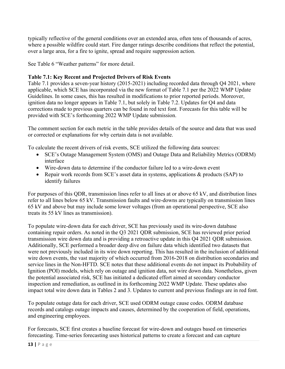typically reflective of the general conditions over an extended area, often tens of thousands of acres, where a possible wildfire could start. Fire danger ratings describe conditions that reflect the potential, over a large area, for a fire to ignite, spread and require suppression action.

See Table 6 "Weather patterns" for more detail.

# **Table 7.1: Key Recent and Projected Drivers of Risk Events**

Table 7.1 provides a seven-year history (2015-2021) including recorded data through Q4 2021, where applicable, which SCE has incorporated via the new format of Table 7.1 per the 2022 WMP Update Guidelines. In some cases, this has resulted in modifications to prior reported periods. Moreover, ignition data no longer appears in Table 7.1, but solely in Table 7.2. Updates for Q4 and data corrections made to previous quarters can be found in red text font. Forecasts for this table will be provided with SCE's forthcoming 2022 WMP Update submission.

The comment section for each metric in the table provides details of the source and data that was used or corrected or explanations for why certain data is not available.

To calculate the recent drivers of risk events, SCE utilized the following data sources:

- SCE's Outage Management System (OMS) and Outage Data and Reliability Metrics (ODRM) interface
- Wire-down data to determine if the conductor failure led to a wire-down event
- Repair work records from SCE's asset data in systems, applications & products (SAP) to identify failures

For purposes of this QDR, transmission lines refer to all lines at or above 65 kV, and distribution lines refer to all lines below 65 kV. Transmission faults and wire-downs are typically on transmission lines 65 kV and above but may include some lower voltages (from an operational perspective, SCE also treats its 55 kV lines as transmission).

To populate wire-down data for each driver, SCE has previously used its wire-down database containing repair orders. As noted in the Q3 2021 QDR submission, SCE has reviewed prior period transmission wire down data and is providing a retroactive update in this Q4 2021 QDR submission. Additionally, SCE performed a broader deep dive on failure data which identified two datasets that were not previously included in its wire down reporting. This has resulted in the inclusion of additional wire down events, the vast majority of which occurred from 2016-2018 on distribution secondaries and service lines in the Non-HFTD. SCE notes that these additional events do not impact its Probability of Ignition (POI) models, which rely on outage and ignition data, not wire down data. Nonetheless, given the potential associated risk, SCE has initiated a dedicated effort aimed at secondary conductor inspection and remediation, as outlined in its forthcoming 2022 WMP Update. These updates also impact total wire down data in Tables 2 and 3. Updates to current and previous findings are in red font.

To populate outage data for each driver, SCE used ODRM outage cause codes. ODRM database records and catalogs outage impacts and causes, determined by the cooperation of field, operations, and engineering employees.

For forecasts, SCE first creates a baseline forecast for wire-down and outages based on timeseries forecasting. Time-series forecasting uses historical patterns to create a forecast and can capture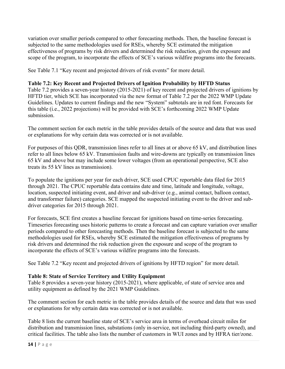variation over smaller periods compared to other forecasting methods. Then, the baseline forecast is subjected to the same methodologies used for RSEs, whereby SCE estimated the mitigation effectiveness of programs by risk drivers and determined the risk reduction, given the exposure and scope of the program, to incorporate the effects of SCE's various wildfire programs into the forecasts.

See Table 7.1 "Key recent and projected drivers of risk events" for more detail.

## **Table 7.2: Key Recent and Projected Drivers of Ignition Probability by HFTD Status**

Table 7.2 provides a seven-year history (2015-2021) of key recent and projected drivers of ignitions by HFTD tier, which SCE has incorporated via the new format of Table 7.2 per the 2022 WMP Update Guidelines. Updates to current findings and the new "System" subtotals are in red font. Forecasts for this table (i.e., 2022 projections) will be provided with SCE's forthcoming 2022 WMP Update submission.

The comment section for each metric in the table provides details of the source and data that was used or explanations for why certain data was corrected or is not available.

For purposes of this QDR, transmission lines refer to all lines at or above 65 kV, and distribution lines refer to all lines below 65 kV. Transmission faults and wire-downs are typically on transmission lines 65 kV and above but may include some lower voltages (from an operational perspective, SCE also treats its 55 kV lines as transmission).

To populate the ignitions per year for each driver, SCE used CPUC reportable data filed for 2015 through 2021. The CPUC reportable data contains date and time, latitude and longitude, voltage, location, suspected initiating event, and driver and sub-driver (e.g., animal contact, balloon contact, and transformer failure) categories. SCE mapped the suspected initiating event to the driver and subdriver categories for 2015 through 2021.

For forecasts, SCE first creates a baseline forecast for ignitions based on time-series forecasting. Timeseries forecasting uses historic patterns to create a forecast and can capture variation over smaller periods compared to other forecasting methods. Then the baseline forecast is subjected to the same methodologies used for RSEs, whereby SCE estimated the mitigation effectiveness of programs by risk drivers and determined the risk reduction given the exposure and scope of the program to incorporate the effects of SCE's various wildfire programs into the forecasts.

See Table 7.2 "Key recent and projected drivers of ignitions by HFTD region" for more detail.

#### **Table 8: State of Service Territory and Utility Equipment**

Table 8 provides a seven-year history (2015-2021), where applicable, of state of service area and utility equipment as defined by the 2021 WMP Guidelines.

The comment section for each metric in the table provides details of the source and data that was used or explanations for why certain data was corrected or is not available.

Table 8 lists the current baseline state of SCE's service area in terms of overhead circuit miles for distribution and transmission lines, substations (only in-service, not including third-party owned), and critical facilities. The table also lists the number of customers in WUI zones and by HFRA tier/zone.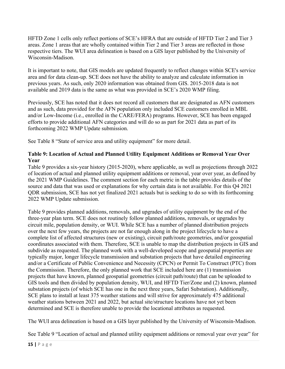HFTD Zone 1 cells only reflect portions of SCE's HFRA that are outside of HFTD Tier 2 and Tier 3 areas. Zone 1 areas that are wholly contained within Tier 2 and Tier 3 areas are reflected in those respective tiers. The WUI area delineation is based on a GIS layer published by the University of Wisconsin-Madison.

It is important to note, that GIS models are updated frequently to reflect changes within SCE's service area and for data clean-up. SCE does not have the ability to analyze and calculate information in previous years. As such, only 2020 information was obtained from GIS. 2015-2018 data is not available and 2019 data is the same as what was provided in SCE's 2020 WMP filing.

Previously, SCE has noted that it does not record all customers that are designated as AFN customers and as such, data provided for the AFN population only included SCE customers enrolled in MBL and/or Low-Income (i.e., enrolled in the CARE/FERA) programs. However, SCE has been engaged efforts to provide additional AFN categories and will do so as part for 2021 data as part of its forthcoming 2022 WMP Update submission.

See Table 8 "State of service area and utility equipment" for more detail.

# **Table 9: Location of Actual and Planned Utility Equipment Additions or Removal Year Over Year**

Table 9 provides a six-year history (2015-2020), where applicable, as well as projections through 2022 of location of actual and planned utility equipment additions or removal, year over year, as defined by the 2021 WMP Guidelines. The comment section for each metric in the table provides details of the source and data that was used or explanations for why certain data is not available. For this Q4 2021 QDR submission, SCE has not yet finalized 2021 actuals but is seeking to do so with its forthcoming 2022 WMP Update submission.

Table 9 provides planned additions, removals, and upgrades of utility equipment by the end of the three-year plan term. SCE does not routinely follow planned additions, removals, or upgrades by circuit mile, population density, or WUI. While SCE has a number of planned distribution projects over the next few years, the projects are not far enough along in the project lifecycle to have a complete list of affected structures (new or existing), circuit path/route geometries, and/or geospatial coordinates associated with them. Therefore, SCE is unable to map the distribution projects in GIS and subdivide as requested. The planned work with a well-developed scope and geospatial properties are typically major, longer lifecycle transmission and substation projects that have detailed engineering and/or a Certificate of Public Convenience and Necessity (CPCN) or Permit To Construct (PTC) from the Commission. Therefore, the only planned work that SCE included here are (1) transmission projects that have known, planned geospatial geometries (circuit path/route) that can be uploaded to GIS tools and then divided by population density, WUI, and HFTD Tier/Zone and (2) known, planned substation projects (of which SCE has one in the next three years, Safari Substation). Additionally, SCE plans to install at least 375 weather stations and will strive for approximately 475 additional weather stations between 2021 and 2022, but actual site/structure locations have not yet been determined and SCE is therefore unable to provide the locational attributes as requested.

The WUI area delineation is based on a GIS layer published by the University of Wisconsin-Madison.

See Table 9 "Location of actual and planned utility equipment additions or removal year over year" for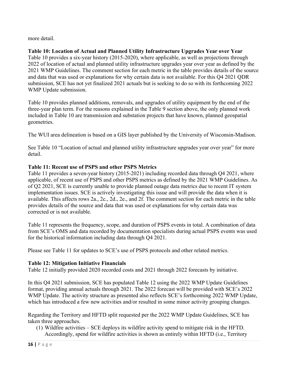more detail.

**Table 10: Location of Actual and Planned Utility Infrastructure Upgrades Year over Year**  Table 10 provides a six-year history (2015-2020), where applicable, as well as projections through 2022 of location of actual and planned utility infrastructure upgrades year over year as defined by the 2021 WMP Guidelines. The comment section for each metric in the table provides details of the source and data that was used or explanations for why certain data is not available. For this Q4 2021 QDR submission, SCE has not yet finalized 2021 actuals but is seeking to do so with its forthcoming 2022 WMP Update submission.

Table 10 provides planned additions, removals, and upgrades of utility equipment by the end of the three-year plan term. For the reasons explained in the Table 9 section above, the only planned work included in Table 10 are transmission and substation projects that have known, planned geospatial geometries.

The WUI area delineation is based on a GIS layer published by the University of Wisconsin-Madison.

See Table 10 "Location of actual and planned utility infrastructure upgrades year over year" for more detail.

# **Table 11: Recent use of PSPS and other PSPS Metrics**

Table 11 provides a seven-year history (2015-2021) including recorded data through Q4 2021, where applicable, of recent use of PSPS and other PSPS metrics as defined by the 2021 WMP Guidelines. As of Q2 2021, SCE is currently unable to provide planned outage data metrics due to recent IT system implementation issues. SCE is actively investigating this issue and will provide the data when it is available. This affects rows 2a., 2c., 2d., 2e., and 2f. The comment section for each metric in the table provides details of the source and data that was used or explanations for why certain data was corrected or is not available.

Table 11 represents the frequency, scope, and duration of PSPS events in total. A combination of data from SCE's OMS and data recorded by documentation specialists during actual PSPS events was used for the historical information including data through Q4 2021.

Please see Table 11 for updates to SCE's use of PSPS protocols and other related metrics.

# **Table 12: Mitigation Initiative Financials**

Table 12 initially provided 2020 recorded costs and 2021 through 2022 forecasts by initiative.

In this Q4 2021 submission, SCE has populated Table 12 using the 2022 WMP Update Guidelines format, providing annual actuals through 2021. The 2022 forecast will be provided with SCE's 2022 WMP Update. The activity structure as presented also reflects SCE's forthcoming 2022 WMP Update, which has introduced a few new activities and/or resulted in some minor activity grouping changes.

Regarding the Territory and HFTD split requested per the 2022 WMP Update Guidelines, SCE has taken three approaches.

(1) Wildfire activities – SCE deploys its wildfire activity spend to mitigate risk in the HFTD. Accordingly, spend for wildfire activities is shown as entirely within HFTD (i.e., Territory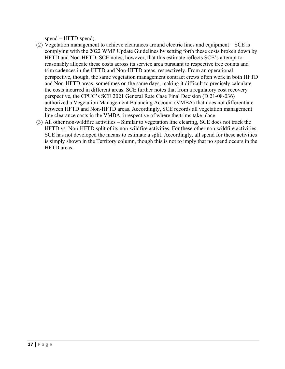$spend = HFTD spend$ ).

- (2) Vegetation management to achieve clearances around electric lines and equipment SCE is complying with the 2022 WMP Update Guidelines by setting forth these costs broken down by HFTD and Non-HFTD. SCE notes, however, that this estimate reflects SCE's attempt to reasonably allocate these costs across its service area pursuant to respective tree counts and trim cadences in the HFTD and Non-HFTD areas, respectively. From an operational perspective, though, the same vegetation management contract crews often work in both HFTD and Non-HFTD areas, sometimes on the same days, making it difficult to precisely calculate the costs incurred in different areas. SCE further notes that from a regulatory cost recovery perspective, the CPUC's SCE 2021 General Rate Case Final Decision (D.21-08-036) authorized a Vegetation Management Balancing Account (VMBA) that does not differentiate between HFTD and Non-HFTD areas. Accordingly, SCE records all vegetation management line clearance costs in the VMBA, irrespective of where the trims take place.
- (3) All other non-wildfire activities Similar to vegetation line clearing, SCE does not track the HFTD vs. Non-HFTD split of its non-wildfire activities. For these other non-wildfire activities, SCE has not developed the means to estimate a split. Accordingly, all spend for these activities is simply shown in the Territory column, though this is not to imply that no spend occurs in the HFTD areas.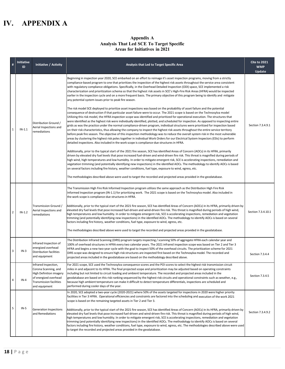# **IV. APPENDIX A**

#### **Appendix A Analysis That Led SCE To Target Specific Areas for Initiatives in 2021**

| $\#$           | <b>Initiative</b><br>ID | Initiative / Activity                                                                                                                        | Analysis that Led to Target Specific Area                                                                                                                                                                                                                                                                                                                                                                                                                                                                                                                                                                                                                                                                                                                                                                                                                                                                                                                                                                                                                                                                                                                                                                                                                                                                                                                                                                                                                                                                                                                                                                                                                                                                                                                                                                                                                                                                                                                                                                                                                                                                                                                                                                                                                                                                                                                                                                                                                                                                                                                                                                                                                                                                                                               | <b>Cite to 2021</b><br><b>WMP</b><br>Update |
|----------------|-------------------------|----------------------------------------------------------------------------------------------------------------------------------------------|---------------------------------------------------------------------------------------------------------------------------------------------------------------------------------------------------------------------------------------------------------------------------------------------------------------------------------------------------------------------------------------------------------------------------------------------------------------------------------------------------------------------------------------------------------------------------------------------------------------------------------------------------------------------------------------------------------------------------------------------------------------------------------------------------------------------------------------------------------------------------------------------------------------------------------------------------------------------------------------------------------------------------------------------------------------------------------------------------------------------------------------------------------------------------------------------------------------------------------------------------------------------------------------------------------------------------------------------------------------------------------------------------------------------------------------------------------------------------------------------------------------------------------------------------------------------------------------------------------------------------------------------------------------------------------------------------------------------------------------------------------------------------------------------------------------------------------------------------------------------------------------------------------------------------------------------------------------------------------------------------------------------------------------------------------------------------------------------------------------------------------------------------------------------------------------------------------------------------------------------------------------------------------------------------------------------------------------------------------------------------------------------------------------------------------------------------------------------------------------------------------------------------------------------------------------------------------------------------------------------------------------------------------------------------------------------------------------------------------------------------------|---------------------------------------------|
| 1              | $IN-1.1$                | Distribution Ground /<br>Aerial Inspections and<br>remediations                                                                              | Beginning in inspection year 2020, SCE embarked on an effort to reimage it's asset inspection programs, moving from a strictly<br>compliance-based program to one that prioritizes the inspection of the highest risk assets throughout the service area consistent<br>with regulatory compliance obligations. Specifically, in the Overhead Detailed Inspection (ODI) space, SCE implemented a risk<br>characterization and prioritization schema so that the highest risk assets in SCE's High-Fire Risk Areas (HFRA) would be inspected<br>earlier in the inspection cycle and on a more frequent basis. The primary objective of this program being to identify and mitigate<br>any potential system issues prior to peak fire season.<br>The risk model SCE deployed to prioritize asset inspections was based on the probability of asset failure and the potential<br>consequence of destruction if that particular asset failure were to occur. The 2021 scope is based on the Technosylva model<br>Utilizing this risk model, the HFRA inspection scope was identified and prioritized for operational execution. The structures that<br>were identified as the highest risk were individually identified, plotted, and scheduled for inspection. As opposed to inspecting entire<br>grids as was the practice under the normal compliance-driven program, individual structures were prioritized for inspection based<br>on their risk characteristics, thus allowing the company to inspect the highest risk assets throughout the entire service territory<br>before peak fire season. The objective of this inspection methodology was to reduce the overall system risk in the most vulnerable<br>areas by clustering the highest risk poles together in individual Work Orders for our Electrical System Inspectors (ESIs) to perform<br>detailed inspections. Also included in the work scope is compliance-due structures in HFRA.<br>Additionally, prior to the typical start of the 2021 fire season, SCE has identified Areas of Concern (AOCs) in its HFRA, primarily<br>driven by elevated dry fuel levels that pose increased fuel-driven and wind-driven fire risk. This threat is magnified during periods of<br>high wind, high temperatures and low humidity. In order to mitigate emergent risk, SCE is accelerating inspections, remediation and<br>vegetation trimming (and potentially identifying new inspections) in the identified AOCs. The methodology to identify AOCs is based<br>on several factors including fire history, weather conditions, fuel type, exposure to wind, egress, etc.<br>The methodologies described above were used to target the recorded and projected areas provided in the geodatabase. | Section 7.3.4.9.1                           |
| $\overline{2}$ | $IN-1.2$                | Transmission Ground /<br>Aerial Inspections and<br>remediations                                                                              | The Transmission High Fire Risk Informed Inspection program utilizes the same approach as the Distribution High Fire Risk<br>Informed Inspection program (IN-1.1) for prioritizing work. The 2021 scope is based on the Technosylva model. Also included in<br>the work scope is compliance-due structures in HFRA.<br>Additionally, prior to the typical start of the 2021 fire season, SCE has identified Areas of Concern (AOCs) in its HFRA, primarily driven by<br>elevated dry fuel levels that pose increased fuel-driven and wind-driven fire risk. This threat is magnified during periods of high wind,<br>high temperatures and low humidity. In order to mitigate emergent risk, SCE is accelerating inspections, remediation and vegetation<br>trimming (and potentially identifying new inspections) in the identified AOCs. The methodology to identify AOCs is based on several<br>factors including fire history, weather conditions, fuel type, exposure to wind, egress, etc.<br>The methodologies described above were used to target the recorded and projected areas provided in the geodatabase.                                                                                                                                                                                                                                                                                                                                                                                                                                                                                                                                                                                                                                                                                                                                                                                                                                                                                                                                                                                                                                                                                                                                                                                                                                                                                                                                                                                                                                                                                                                                                                                                                                 | Section 7.3.4.10.1                          |
| 3              | $IN-3$                  | Infrared Inspection of<br>energized overhead<br><b>Distribution facilities</b><br>and equipment                                              | The Distribution Infrared Scanning (DIRS) program targets inspecting / scanning 50% of aggregate HFRA each calendar year and<br>100% of overhead structures in HFRA every two calendar years. The 2021 infrared inspection scope was based on Tier 2 and Tier 3<br>HFRA and begins a new two-year cycle with the goal to inspect 50% of the overhead circuits. The prioritization scheme for 2021<br>DIRS scope was designed to ensure high-risk structures are inspected first based on the Technosylva model. The recorded and<br>projected areas included in the geodatabase are based on the methodology described above.                                                                                                                                                                                                                                                                                                                                                                                                                                                                                                                                                                                                                                                                                                                                                                                                                                                                                                                                                                                                                                                                                                                                                                                                                                                                                                                                                                                                                                                                                                                                                                                                                                                                                                                                                                                                                                                                                                                                                                                                                                                                                                                           | Section 7.3.4.4                             |
| 4              | $IN-4$                  | Infrared Inspection,<br>Corona Scanning, and<br>High Definition imagery<br>of energized overhead<br>Transmission facilities<br>and equipment | For 2021 scope, SCE used the Technosylva consequence scores and the POI scores to select the highest risk transmission circuit<br>miles in and adjacent to its HFRA. The final projected scope and prioritization may be adjusted based on operating constraints<br>including but not limited to circuit loading and ambient temperature. The recorded and projected areas included in the<br>geodatabase are based on this risk-ranking sequenced by the highest risk circuits and operational constraints such as weather, e.g.,<br>because high ambient temperature can make it difficult to detect temperature differentials, inspections are scheduled and<br>performed during cooler days of the year.                                                                                                                                                                                                                                                                                                                                                                                                                                                                                                                                                                                                                                                                                                                                                                                                                                                                                                                                                                                                                                                                                                                                                                                                                                                                                                                                                                                                                                                                                                                                                                                                                                                                                                                                                                                                                                                                                                                                                                                                                                            | Section 7.3.4.5                             |
| 5              | $IN-5$                  | <b>Generation Inspections</b><br>and Remediations                                                                                            | In 2020, SCE adopted a two-year cycle (2020-2021) where 50% of the assets targeted for inspections in 2020 were higher priority<br>facilities in Tier 3 HFRA. Operational efficiencies and constraints are factored into the scheduling and execution of the work 2021<br>scope is based on the remaining targeted assets in Tier 2 and Tier 3.<br>Additionally, prior to the typical start of the 2021 fire season, SCE has identified Areas of Concern (AOCs) in its HFRA, primarily driven by<br>elevated dry fuel levels that pose increased fuel-driven and wind-driven fire risk. This threat is magnified during periods of high wind,<br>high temperatures and low humidity. In order to mitigate emergent risk, SCE is accelerating inspections, remediation and vegetation<br>trimming (and potentially identifying new inspections) in the identified AOCs. The methodology to identify AOCs is based on several<br>factors including fire history, weather conditions, fuel type, exposure to wind, egress, etc. The methodologies described above were used<br>to target the recorded and projected areas provided in the geodatabase.                                                                                                                                                                                                                                                                                                                                                                                                                                                                                                                                                                                                                                                                                                                                                                                                                                                                                                                                                                                                                                                                                                                                                                                                                                                                                                                                                                                                                                                                                                                                                                                                     | Section 7.3.4.9.2                           |